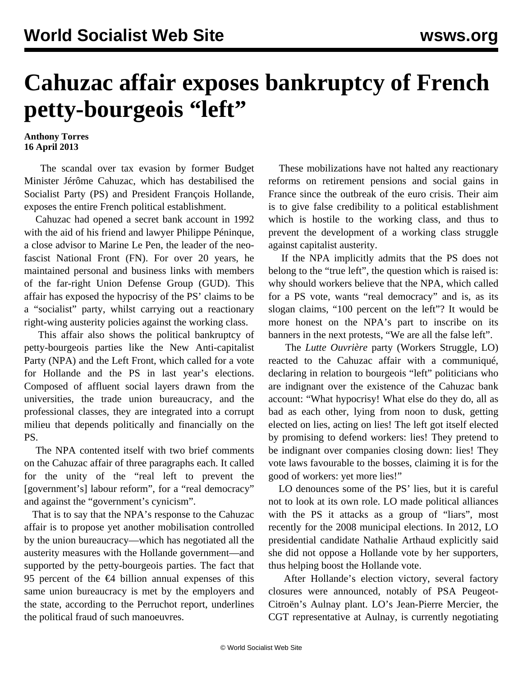## **Cahuzac affair exposes bankruptcy of French petty-bourgeois "left"**

## **Anthony Torres 16 April 2013**

 The scandal over tax evasion by former Budget Minister Jérôme Cahuzac, which has destabilised the Socialist Party (PS) and President François Hollande, exposes the entire French political establishment.

 Cahuzac had opened a secret bank account in 1992 with the aid of his friend and lawyer Philippe Péninque, a close advisor to Marine Le Pen, the leader of the neofascist National Front (FN). For over 20 years, he maintained personal and business links with members of the far-right Union Defense Group (GUD). This affair has exposed the hypocrisy of the PS' claims to be a "socialist" party, whilst carrying out a reactionary right-wing austerity policies against the working class.

 This affair also shows the political bankruptcy of petty-bourgeois parties like the New Anti-capitalist Party (NPA) and the Left Front, which called for a vote for Hollande and the PS in last year's elections. Composed of affluent social layers drawn from the universities, the trade union bureaucracy, and the professional classes, they are integrated into a corrupt milieu that depends politically and financially on the PS.

 The NPA contented itself with two brief comments on the Cahuzac affair of three paragraphs each. It called for the unity of the "real left to prevent the [government's] labour reform", for a "real democracy" and against the "government's cynicism".

 That is to say that the NPA's response to the Cahuzac affair is to propose yet another mobilisation controlled by the union bureaucracy—which has negotiated all the austerity measures with the Hollande government—and supported by the petty-bourgeois parties. The fact that 95 percent of the  $\epsilon$ 4 billion annual expenses of this same union bureaucracy is met by the employers and the state, according to the Perruchot report, underlines the political fraud of such manoeuvres.

 These mobilizations have not halted any reactionary reforms on retirement pensions and social gains in France since the outbreak of the euro crisis. Their aim is to give false credibility to a political establishment which is hostile to the working class, and thus to prevent the development of a working class struggle against capitalist austerity.

 If the NPA implicitly admits that the PS does not belong to the "true left", the question which is raised is: why should workers believe that the NPA, which called for a PS vote, wants "real democracy" and is, as its slogan claims, "100 percent on the left"? It would be more honest on the NPA's part to inscribe on its banners in the next protests, "We are all the false left".

 The *Lutte Ouvrière* party (Workers Struggle, LO) reacted to the Cahuzac affair with a communiqué, declaring in relation to bourgeois "left" politicians who are indignant over the existence of the Cahuzac bank account: "What hypocrisy! What else do they do, all as bad as each other, lying from noon to dusk, getting elected on lies, acting on lies! The left got itself elected by promising to defend workers: lies! They pretend to be indignant over companies closing down: lies! They vote laws favourable to the bosses, claiming it is for the good of workers: yet more lies!"

 LO denounces some of the PS' lies, but it is careful not to look at its own role. LO made political alliances with the PS it attacks as a group of "liars", most recently for the 2008 municipal elections. In 2012, LO presidential candidate Nathalie Arthaud explicitly said she did not oppose a Hollande vote by her supporters, thus helping boost the Hollande vote.

 After Hollande's election victory, several factory closures were announced, notably of PSA Peugeot-Citroën's Aulnay plant. LO's Jean-Pierre Mercier, the CGT representative at Aulnay, is currently negotiating